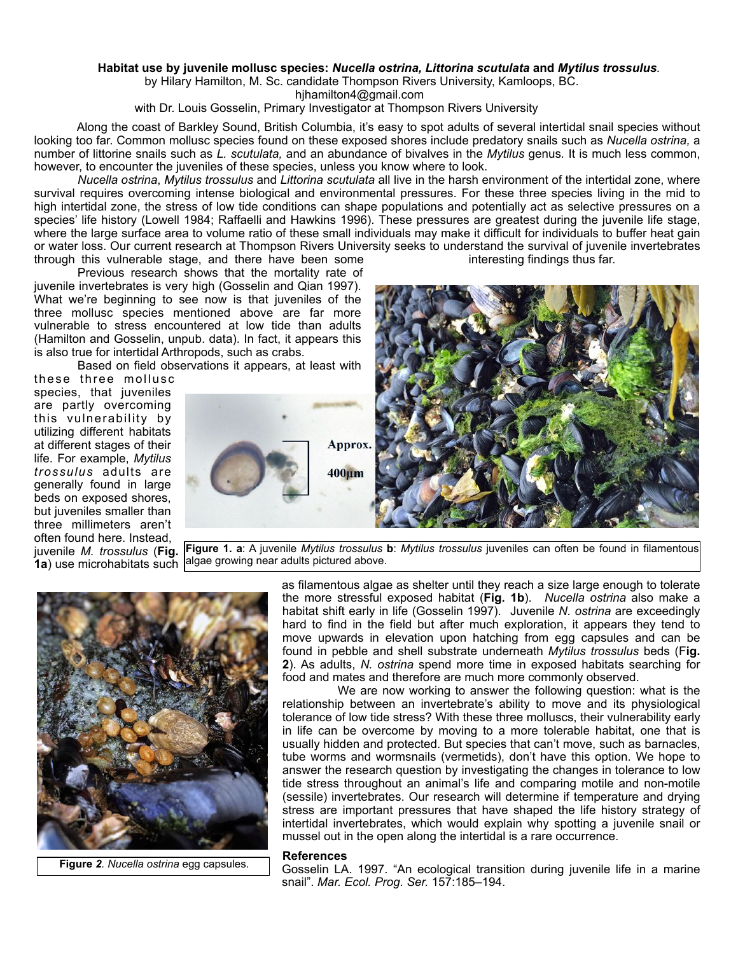## **Habitat use by juvenile mollusc species:** *Nucella ostrina, Littorina scutulata* **and** *Mytilus trossulus.*

by Hilary Hamilton, M. Sc. candidate Thompson Rivers University, Kamloops, BC.

hjhamilton4@gmail.com

with Dr. Louis Gosselin, Primary Investigator at Thompson Rivers University

 Along the coast of Barkley Sound, British Columbia, it's easy to spot adults of several intertidal snail species without looking too far. Common mollusc species found on these exposed shores include predatory snails such as *Nucella ostrina,* a number of littorine snails such as *L. scutulata,* and an abundance of bivalves in the *Mytilus* genus*.* It is much less common, however, to encounter the juveniles of these species, unless you know where to look.

*Nucella ostrina*, *Mytilus trossulus* and *Littorina scutulata* all live in the harsh environment of the intertidal zone, where survival requires overcoming intense biological and environmental pressures. For these three species living in the mid to high intertidal zone, the stress of low tide conditions can shape populations and potentially act as selective pressures on a species' life history (Lowell 1984; Raffaelli and Hawkins 1996). These pressures are greatest during the juvenile life stage, where the large surface area to volume ratio of these small individuals may make it difficult for individuals to buffer heat gain or water loss. Our current research at Thompson Rivers University seeks to understand the survival of juvenile invertebrates through this vulnerable stage, and there have been some interesting findings thus far.

 Previous research shows that the mortality rate of juvenile invertebrates is very high (Gosselin and Qian 1997). What we're beginning to see now is that juveniles of the three mollusc species mentioned above are far more vulnerable to stress encountered at low tide than adults (Hamilton and Gosselin, unpub. data). In fact, it appears this is also true for intertidal Arthropods, such as crabs.

Based on field observations it appears, at least with

these three mollusc species, that juveniles are partly overcoming this vulnerability by utilizing different habitats at different stages of their life. For example, *Mytilus trossulus* adults are generally found in large beds on exposed shores, but juveniles smaller than three millimeters aren't often found here. Instead, juvenile *M. trossulus* (**Fig. 1a**) use microhabitats such



**Figure 1. a**: A juvenile *Mytilus trossulus* **b**: *Mytilus trossulus* juveniles can often be found in filamentous algae growing near adults pictured above.



 **Figure** *2. Nucella ostrina* egg capsules.

as filamentous algae as shelter until they reach a size large enough to tolerate the more stressful exposed habitat (**Fig. 1b**). *Nucella ostrina* also make a habitat shift early in life (Gosselin 1997). Juvenile *N. ostrina* are exceedingly hard to find in the field but after much exploration, it appears they tend to move upwards in elevation upon hatching from egg capsules and can be found in pebble and shell substrate underneath *Mytilus trossulus* beds (F**ig. 2**). As adults, *N. ostrina* spend more time in exposed habitats searching for food and mates and therefore are much more commonly observed.

 We are now working to answer the following question: what is the relationship between an invertebrate's ability to move and its physiological tolerance of low tide stress? With these three molluscs, their vulnerability early in life can be overcome by moving to a more tolerable habitat, one that is usually hidden and protected. But species that can't move, such as barnacles, tube worms and wormsnails (vermetids), don't have this option. We hope to answer the research question by investigating the changes in tolerance to low tide stress throughout an animal's life and comparing motile and non-motile (sessile) invertebrates. Our research will determine if temperature and drying stress are important pressures that have shaped the life history strategy of intertidal invertebrates, which would explain why spotting a juvenile snail or mussel out in the open along the intertidal is a rare occurrence.

## **References**

Gosselin LA. 1997. "An ecological transition during juvenile life in a marine snail". *Mar. Ecol. Prog. Ser.* 157:185–194.